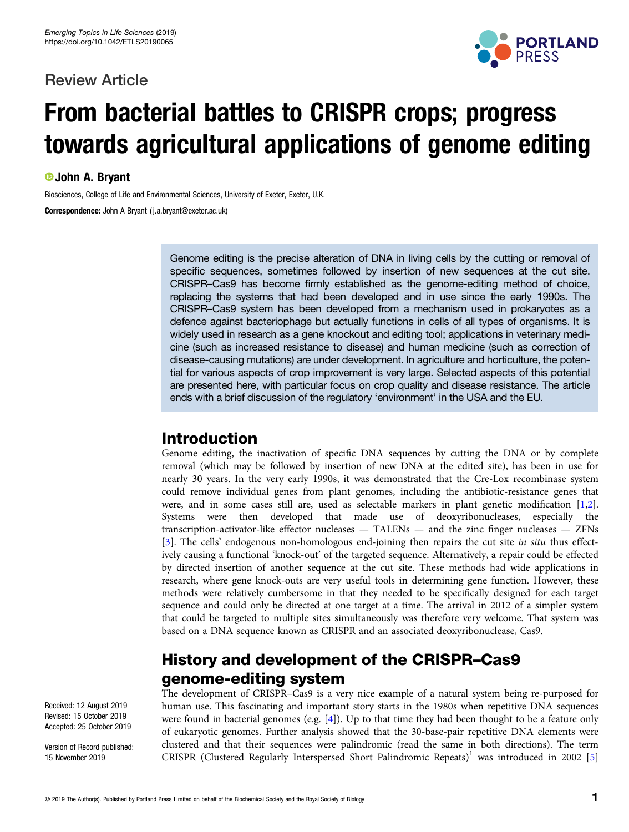## Review Article



# From bacterial battles to CRISPR crops; progress towards agricultural applications of genome editing

#### John A. Bryant

Biosciences, College of Life and Environmental Sciences, University of Exeter, Exeter, U.K.

Correspondence: John A Bryant ( j.a.bryant@exeter.ac.uk)

Genome editing is the precise alteration of DNA in living cells by the cutting or removal of specific sequences, sometimes followed by insertion of new sequences at the cut site. CRISPR–Cas9 has become firmly established as the genome-editing method of choice, replacing the systems that had been developed and in use since the early 1990s. The CRISPR–Cas9 system has been developed from a mechanism used in prokaryotes as a defence against bacteriophage but actually functions in cells of all types of organisms. It is widely used in research as a gene knockout and editing tool; applications in veterinary medicine (such as increased resistance to disease) and human medicine (such as correction of disease-causing mutations) are under development. In agriculture and horticulture, the potential for various aspects of crop improvement is very large. Selected aspects of this potential are presented here, with particular focus on crop quality and disease resistance. The article ends with a brief discussion of the regulatory 'environment' in the USA and the EU.

### Introduction

Genome editing, the inactivation of specific DNA sequences by cutting the DNA or by complete removal (which may be followed by insertion of new DNA at the edited site), has been in use for nearly 30 years. In the very early 1990s, it was demonstrated that the Cre-Lox recombinase system could remove individual genes from plant genomes, including the antibiotic-resistance genes that were, and in some cases still are, used as selectable markers in plant genetic modification [\[1,2](#page-5-0)]. Systems were then developed that made use of deoxyribonucleases, especially the transcription-activator-like effector nucleases — TALENs — and the zinc finger nucleases — ZFNs [[3](#page-5-0)]. The cells' endogenous non-homologous end-joining then repairs the cut site in situ thus effectively causing a functional 'knock-out' of the targeted sequence. Alternatively, a repair could be effected by directed insertion of another sequence at the cut site. These methods had wide applications in research, where gene knock-outs are very useful tools in determining gene function. However, these methods were relatively cumbersome in that they needed to be specifically designed for each target sequence and could only be directed at one target at a time. The arrival in 2012 of a simpler system that could be targeted to multiple sites simultaneously was therefore very welcome. That system was based on a DNA sequence known as CRISPR and an associated deoxyribonuclease, Cas9.

## History and development of the CRISPR–Cas9 genome-editing system

The development of CRISPR–Cas9 is a very nice example of a natural system being re-purposed for human use. This fascinating and important story starts in the 1980s when repetitive DNA sequences were found in bacterial genomes (e.g. [[4](#page-5-0)]). Up to that time they had been thought to be a feature only of eukaryotic genomes. Further analysis showed that the 30-base-pair repetitive DNA elements were clustered and that their sequences were palindromic (read the same in both directions). The term CRISPR (Clustered Regularly Interspersed Short Palindromic Repeats)<sup>1</sup> was introduced in 2002 [[5](#page-5-0)]

Received: 12 August 2019 Revised: 15 October 2019 Accepted: 25 October 2019

Version of Record published: 15 November 2019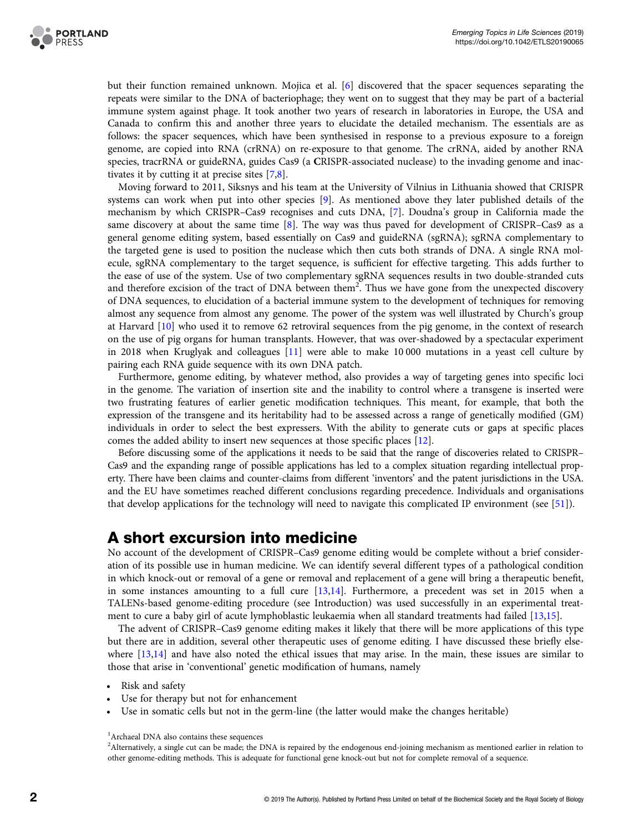

but their function remained unknown. Mojica et al. [[6\]](#page-5-0) discovered that the spacer sequences separating the repeats were similar to the DNA of bacteriophage; they went on to suggest that they may be part of a bacterial immune system against phage. It took another two years of research in laboratories in Europe, the USA and Canada to confirm this and another three years to elucidate the detailed mechanism. The essentials are as follows: the spacer sequences, which have been synthesised in response to a previous exposure to a foreign genome, are copied into RNA (crRNA) on re-exposure to that genome. The crRNA, aided by another RNA species, tracrRNA or guideRNA, guides Cas9 (a CRISPR-associated nuclease) to the invading genome and inactivates it by cutting it at precise sites [\[7,8](#page-5-0)].

Moving forward to 2011, Siksnys and his team at the University of Vilnius in Lithuania showed that CRISPR systems can work when put into other species [\[9\]](#page-5-0). As mentioned above they later published details of the mechanism by which CRISPR–Cas9 recognises and cuts DNA, [\[7](#page-5-0)]. Doudna's group in California made the same discovery at about the same time [[8\]](#page-5-0). The way was thus paved for development of CRISPR–Cas9 as a general genome editing system, based essentially on Cas9 and guideRNA (sgRNA); sgRNA complementary to the targeted gene is used to position the nuclease which then cuts both strands of DNA. A single RNA molecule, sgRNA complementary to the target sequence, is sufficient for effective targeting. This adds further to the ease of use of the system. Use of two complementary sgRNA sequences results in two double-stranded cuts and therefore excision of the tract of DNA between them<sup>2</sup>. Thus we have gone from the unexpected discovery of DNA sequences, to elucidation of a bacterial immune system to the development of techniques for removing almost any sequence from almost any genome. The power of the system was well illustrated by Church's group at Harvard [[10](#page-5-0)] who used it to remove 62 retroviral sequences from the pig genome, in the context of research on the use of pig organs for human transplants. However, that was over-shadowed by a spectacular experiment in 2018 when Kruglyak and colleagues [\[11\]](#page-5-0) were able to make 10 000 mutations in a yeast cell culture by pairing each RNA guide sequence with its own DNA patch.

Furthermore, genome editing, by whatever method, also provides a way of targeting genes into specific loci in the genome. The variation of insertion site and the inability to control where a transgene is inserted were two frustrating features of earlier genetic modification techniques. This meant, for example, that both the expression of the transgene and its heritability had to be assessed across a range of genetically modified (GM) individuals in order to select the best expressers. With the ability to generate cuts or gaps at specific places comes the added ability to insert new sequences at those specific places [[12](#page-5-0)].

Before discussing some of the applications it needs to be said that the range of discoveries related to CRISPR– Cas9 and the expanding range of possible applications has led to a complex situation regarding intellectual property. There have been claims and counter-claims from different 'inventors' and the patent jurisdictions in the USA. and the EU have sometimes reached different conclusions regarding precedence. Individuals and organisations that develop applications for the technology will need to navigate this complicated IP environment (see [[51](#page-6-0)]).

## A short excursion into medicine

No account of the development of CRISPR–Cas9 genome editing would be complete without a brief consideration of its possible use in human medicine. We can identify several different types of a pathological condition in which knock-out or removal of a gene or removal and replacement of a gene will bring a therapeutic benefit, in some instances amounting to a full cure  $[13,14]$  $[13,14]$ . Furthermore, a precedent was set in 2015 when a TALENs-based genome-editing procedure (see Introduction) was used successfully in an experimental treatment to cure a baby girl of acute lymphoblastic leukaemia when all standard treatments had failed [\[13,15\]](#page-5-0).

The advent of CRISPR–Cas9 genome editing makes it likely that there will be more applications of this type but there are in addition, several other therapeutic uses of genome editing. I have discussed these briefly elsewhere [\[13,14\]](#page-5-0) and have also noted the ethical issues that may arise. In the main, these issues are similar to those that arise in 'conventional' genetic modification of humans, namely

- Risk and safety
- Use for therapy but not for enhancement
- Use in somatic cells but not in the germ-line (the latter would make the changes heritable)

<sup>1</sup> Archaeal DNA also contains these sequences

<sup>2</sup>Alternatively, a single cut can be made; the DNA is repaired by the endogenous end-joining mechanism as mentioned earlier in relation to other genome-editing methods. This is adequate for functional gene knock-out but not for complete removal of a sequence.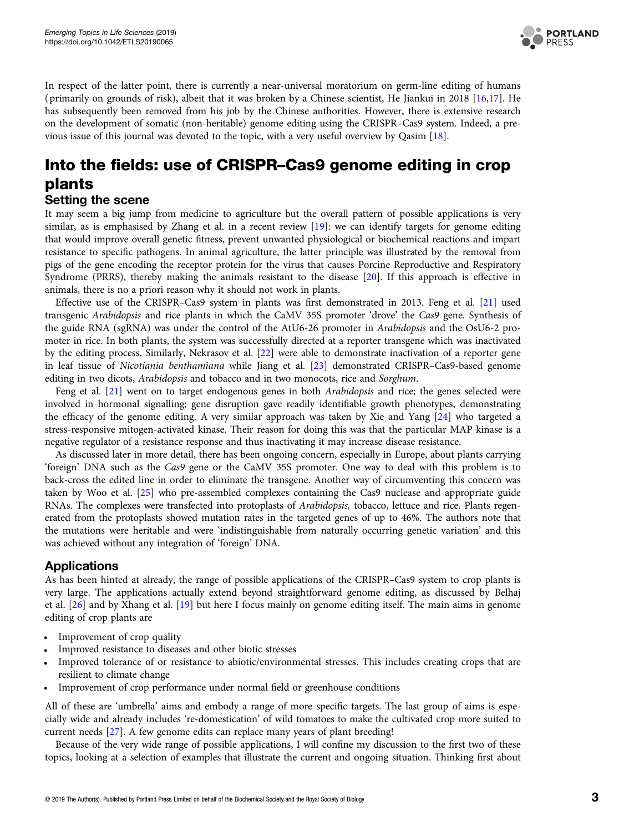

In respect of the latter point, there is currently a near-universal moratorium on germ-line editing of humans ( primarily on grounds of risk), albeit that it was broken by a Chinese scientist, He Jiankui in 2018 [\[16,17](#page-5-0)]. He has subsequently been removed from his job by the Chinese authorities. However, there is extensive research on the development of somatic (non-heritable) genome editing using the CRISPR–Cas9 system. Indeed, a previous issue of this journal was devoted to the topic, with a very useful overview by Qasim [\[18\]](#page-5-0).

# Into the fields: use of CRISPR–Cas9 genome editing in crop plants

#### Setting the scene

It may seem a big jump from medicine to agriculture but the overall pattern of possible applications is very similar, as is emphasised by Zhang et al. in a recent review [[19](#page-5-0)]: we can identify targets for genome editing that would improve overall genetic fitness, prevent unwanted physiological or biochemical reactions and impart resistance to specific pathogens. In animal agriculture, the latter principle was illustrated by the removal from pigs of the gene encoding the receptor protein for the virus that causes Porcine Reproductive and Respiratory Syndrome (PRRS), thereby making the animals resistant to the disease [\[20\]](#page-5-0). If this approach is effective in animals, there is no a priori reason why it should not work in plants.

Effective use of the CRISPR–Cas9 system in plants was first demonstrated in 2013. Feng et al. [[21](#page-5-0)] used transgenic Arabidopsis and rice plants in which the CaMV 35S promoter 'drove' the Cas9 gene. Synthesis of the guide RNA (sgRNA) was under the control of the AtU6-26 promoter in Arabidopsis and the OsU6-2 promoter in rice. In both plants, the system was successfully directed at a reporter transgene which was inactivated by the editing process. Similarly, Nekrasov et al. [[22](#page-5-0)] were able to demonstrate inactivation of a reporter gene in leaf tissue of Nicotiania benthamiana while Jiang et al. [\[23\]](#page-5-0) demonstrated CRISPR–Cas9-based genome editing in two dicots, Arabidopsis and tobacco and in two monocots, rice and Sorghum.

Feng et al. [\[21\]](#page-5-0) went on to target endogenous genes in both Arabidopsis and rice; the genes selected were involved in hormonal signalling; gene disruption gave readily identifiable growth phenotypes, demonstrating the efficacy of the genome editing. A very similar approach was taken by Xie and Yang [[24](#page-5-0)] who targeted a stress-responsive mitogen-activated kinase. Their reason for doing this was that the particular MAP kinase is a negative regulator of a resistance response and thus inactivating it may increase disease resistance.

As discussed later in more detail, there has been ongoing concern, especially in Europe, about plants carrying 'foreign' DNA such as the Cas9 gene or the CaMV 35S promoter. One way to deal with this problem is to back-cross the edited line in order to eliminate the transgene. Another way of circumventing this concern was taken by Woo et al. [[25\]](#page-5-0) who pre-assembled complexes containing the Cas9 nuclease and appropriate guide RNAs. The complexes were transfected into protoplasts of Arabidopsis, tobacco, lettuce and rice. Plants regenerated from the protoplasts showed mutation rates in the targeted genes of up to 46%. The authors note that the mutations were heritable and were 'indistinguishable from naturally occurring genetic variation' and this was achieved without any integration of 'foreign' DNA.

#### Applications

As has been hinted at already, the range of possible applications of the CRISPR–Cas9 system to crop plants is very large. The applications actually extend beyond straightforward genome editing, as discussed by Belhaj et al. [\[26\]](#page-5-0) and by Xhang et al. [\[19\]](#page-5-0) but here I focus mainly on genome editing itself. The main aims in genome editing of crop plants are

- Improvement of crop quality
- Improved resistance to diseases and other biotic stresses
- Improved tolerance of or resistance to abiotic/environmental stresses. This includes creating crops that are resilient to climate change
- Improvement of crop performance under normal field or greenhouse conditions

All of these are 'umbrella' aims and embody a range of more specific targets. The last group of aims is especially wide and already includes 're-domestication' of wild tomatoes to make the cultivated crop more suited to current needs [[27](#page-6-0)]. A few genome edits can replace many years of plant breeding!

Because of the very wide range of possible applications, I will confine my discussion to the first two of these topics, looking at a selection of examples that illustrate the current and ongoing situation. Thinking first about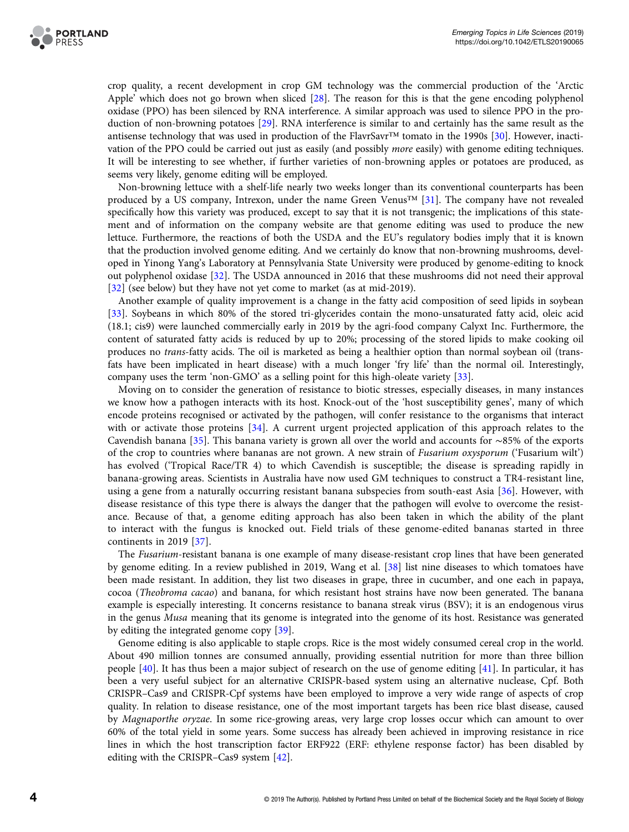

crop quality, a recent development in crop GM technology was the commercial production of the 'Arctic Apple' which does not go brown when sliced [\[28\]](#page-6-0). The reason for this is that the gene encoding polyphenol oxidase (PPO) has been silenced by RNA interference. A similar approach was used to silence PPO in the production of non-browning potatoes [[29](#page-6-0)]. RNA interference is similar to and certainly has the same result as the antisense technology that was used in production of the FlavrSavr™ tomato in the 1990s [\[30\]](#page-6-0). However, inactivation of the PPO could be carried out just as easily (and possibly more easily) with genome editing techniques. It will be interesting to see whether, if further varieties of non-browning apples or potatoes are produced, as seems very likely, genome editing will be employed.

Non-browning lettuce with a shelf-life nearly two weeks longer than its conventional counterparts has been produced by a US company, Intrexon, under the name Green Venus™ [[31](#page-6-0)]. The company have not revealed specifically how this variety was produced, except to say that it is not transgenic; the implications of this statement and of information on the company website are that genome editing was used to produce the new lettuce. Furthermore, the reactions of both the USDA and the EU's regulatory bodies imply that it is known that the production involved genome editing. And we certainly do know that non-browning mushrooms, developed in Yinong Yang's Laboratory at Pennsylvania State University were produced by genome-editing to knock out polyphenol oxidase [[32](#page-6-0)]. The USDA announced in 2016 that these mushrooms did not need their approval [[32](#page-6-0)] (see below) but they have not yet come to market (as at mid-2019).

Another example of quality improvement is a change in the fatty acid composition of seed lipids in soybean [[33](#page-6-0)]. Soybeans in which 80% of the stored tri-glycerides contain the mono-unsaturated fatty acid, oleic acid (18.1; cis9) were launched commercially early in 2019 by the agri-food company Calyxt Inc. Furthermore, the content of saturated fatty acids is reduced by up to 20%; processing of the stored lipids to make cooking oil produces no trans-fatty acids. The oil is marketed as being a healthier option than normal soybean oil (transfats have been implicated in heart disease) with a much longer 'fry life' than the normal oil. Interestingly, company uses the term 'non-GMO' as a selling point for this high-oleate variety [\[33\]](#page-6-0).

Moving on to consider the generation of resistance to biotic stresses, especially diseases, in many instances we know how a pathogen interacts with its host. Knock-out of the 'host susceptibility genes', many of which encode proteins recognised or activated by the pathogen, will confer resistance to the organisms that interact with or activate those proteins [\[34](#page-6-0)]. A current urgent projected application of this approach relates to the Cavendish banana [[35\]](#page-6-0). This banana variety is grown all over the world and accounts for ∼85% of the exports of the crop to countries where bananas are not grown. A new strain of Fusarium oxysporum ('Fusarium wilt') has evolved ('Tropical Race/TR 4) to which Cavendish is susceptible; the disease is spreading rapidly in banana-growing areas. Scientists in Australia have now used GM techniques to construct a TR4-resistant line, using a gene from a naturally occurring resistant banana subspecies from south-east Asia [[36\]](#page-6-0). However, with disease resistance of this type there is always the danger that the pathogen will evolve to overcome the resistance. Because of that, a genome editing approach has also been taken in which the ability of the plant to interact with the fungus is knocked out. Field trials of these genome-edited bananas started in three continents in 2019 [[37](#page-6-0)].

The Fusarium-resistant banana is one example of many disease-resistant crop lines that have been generated by genome editing. In a review published in 2019, Wang et al. [\[38\]](#page-6-0) list nine diseases to which tomatoes have been made resistant. In addition, they list two diseases in grape, three in cucumber, and one each in papaya, cocoa (Theobroma cacao) and banana, for which resistant host strains have now been generated. The banana example is especially interesting. It concerns resistance to banana streak virus (BSV); it is an endogenous virus in the genus Musa meaning that its genome is integrated into the genome of its host. Resistance was generated by editing the integrated genome copy [\[39\]](#page-6-0).

Genome editing is also applicable to staple crops. Rice is the most widely consumed cereal crop in the world. About 490 million tonnes are consumed annually, providing essential nutrition for more than three billion people [[40](#page-6-0)]. It has thus been a major subject of research on the use of genome editing [[41](#page-6-0)]. In particular, it has been a very useful subject for an alternative CRISPR-based system using an alternative nuclease, Cpf. Both CRISPR–Cas9 and CRISPR-Cpf systems have been employed to improve a very wide range of aspects of crop quality. In relation to disease resistance, one of the most important targets has been rice blast disease, caused by Magnaporthe oryzae. In some rice-growing areas, very large crop losses occur which can amount to over 60% of the total yield in some years. Some success has already been achieved in improving resistance in rice lines in which the host transcription factor ERF922 (ERF: ethylene response factor) has been disabled by editing with the CRISPR–Cas9 system [[42\]](#page-6-0).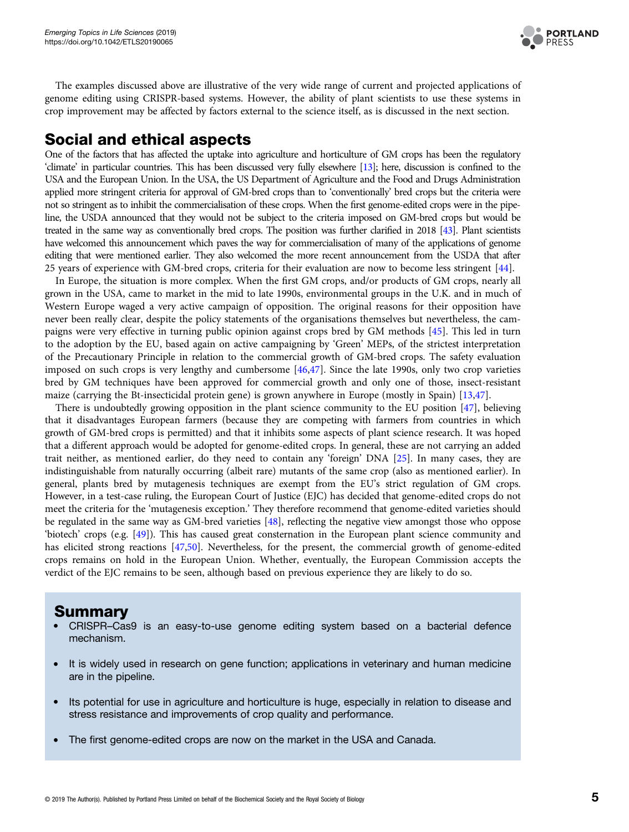

The examples discussed above are illustrative of the very wide range of current and projected applications of genome editing using CRISPR-based systems. However, the ability of plant scientists to use these systems in crop improvement may be affected by factors external to the science itself, as is discussed in the next section.

## Social and ethical aspects

One of the factors that has affected the uptake into agriculture and horticulture of GM crops has been the regulatory 'climate' in particular countries. This has been discussed very fully elsewhere [\[13\]](#page-5-0); here, discussion is confined to the USA and the European Union. In the USA, the US Department of Agriculture and the Food and Drugs Administration applied more stringent criteria for approval of GM-bred crops than to 'conventionally' bred crops but the criteria were not so stringent as to inhibit the commercialisation of these crops. When the first genome-edited crops were in the pipeline, the USDA announced that they would not be subject to the criteria imposed on GM-bred crops but would be treated in the same way as conventionally bred crops. The position was further clarified in 2018 [[43\]](#page-6-0). Plant scientists have welcomed this announcement which paves the way for commercialisation of many of the applications of genome editing that were mentioned earlier. They also welcomed the more recent announcement from the USDA that after 25 years of experience with GM-bred crops, criteria for their evaluation are now to become less stringent [\[44\]](#page-6-0).

In Europe, the situation is more complex. When the first GM crops, and/or products of GM crops, nearly all grown in the USA, came to market in the mid to late 1990s, environmental groups in the U.K. and in much of Western Europe waged a very active campaign of opposition. The original reasons for their opposition have never been really clear, despite the policy statements of the organisations themselves but nevertheless, the campaigns were very effective in turning public opinion against crops bred by GM methods [\[45\]](#page-6-0). This led in turn to the adoption by the EU, based again on active campaigning by 'Green' MEPs, of the strictest interpretation of the Precautionary Principle in relation to the commercial growth of GM-bred crops. The safety evaluation imposed on such crops is very lengthy and cumbersome [[46,47](#page-6-0)]. Since the late 1990s, only two crop varieties bred by GM techniques have been approved for commercial growth and only one of those, insect-resistant maize (carrying the Bt-insecticidal protein gene) is grown anywhere in Europe (mostly in Spain) [\[13,](#page-5-0)[47\]](#page-6-0).

There is undoubtedly growing opposition in the plant science community to the EU position [\[47\]](#page-6-0), believing that it disadvantages European farmers (because they are competing with farmers from countries in which growth of GM-bred crops is permitted) and that it inhibits some aspects of plant science research. It was hoped that a different approach would be adopted for genome-edited crops. In general, these are not carrying an added trait neither, as mentioned earlier, do they need to contain any 'foreign' DNA [[25](#page-5-0)]. In many cases, they are indistinguishable from naturally occurring (albeit rare) mutants of the same crop (also as mentioned earlier). In general, plants bred by mutagenesis techniques are exempt from the EU's strict regulation of GM crops. However, in a test-case ruling, the European Court of Justice (EJC) has decided that genome-edited crops do not meet the criteria for the 'mutagenesis exception.' They therefore recommend that genome-edited varieties should be regulated in the same way as GM-bred varieties [[48](#page-6-0)], reflecting the negative view amongst those who oppose 'biotech' crops (e.g. [[49](#page-6-0)]). This has caused great consternation in the European plant science community and has elicited strong reactions [[47,50\]](#page-6-0). Nevertheless, for the present, the commercial growth of genome-edited crops remains on hold in the European Union. Whether, eventually, the European Commission accepts the verdict of the EJC remains to be seen, although based on previous experience they are likely to do so.

## Summary

- CRISPR–Cas9 is an easy-to-use genome editing system based on a bacterial defence mechanism.
- It is widely used in research on gene function; applications in veterinary and human medicine are in the pipeline.
- Its potential for use in agriculture and horticulture is huge, especially in relation to disease and stress resistance and improvements of crop quality and performance.
- The first genome-edited crops are now on the market in the USA and Canada.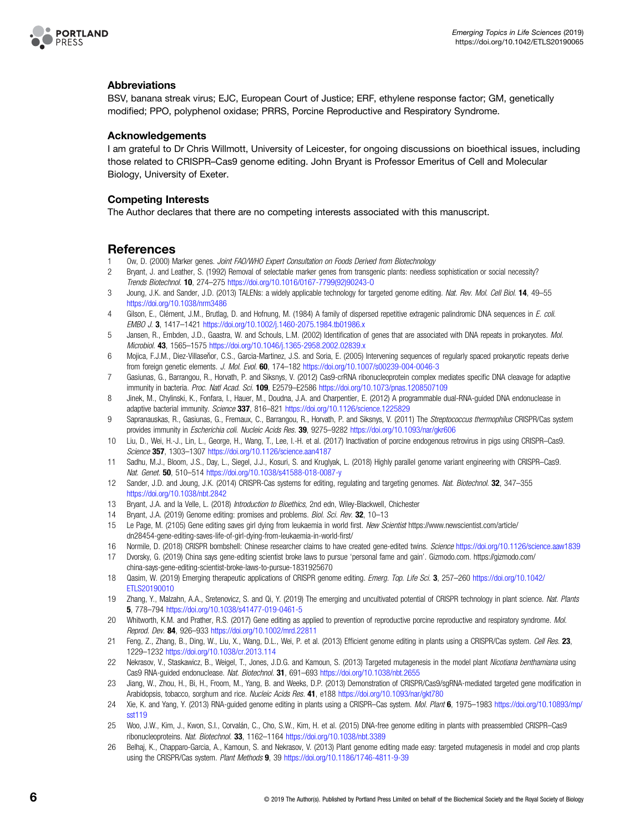<span id="page-5-0"></span>

#### Abbreviations

BSV, banana streak virus; EJC, European Court of Justice; ERF, ethylene response factor; GM, genetically modified; PPO, polyphenol oxidase; PRRS, Porcine Reproductive and Respiratory Syndrome.

#### Acknowledgements

I am grateful to Dr Chris Willmott, University of Leicester, for ongoing discussions on bioethical issues, including those related to CRISPR–Cas9 genome editing. John Bryant is Professor Emeritus of Cell and Molecular Biology, University of Exeter.

#### Competing Interests

The Author declares that there are no competing interests associated with this manuscript.

#### References

- 1 Ow, D. (2000) Marker genes. Joint FAO/WHO Expert Consultation on Foods Derived from Biotechnology
- 2 Bryant, J. and Leather, S. (1992) Removal of selectable marker genes from transgenic plants: needless sophistication or social necessity? Trends Biotechnol. 10, 274–275 [https://doi.org/10.1016/0167-7799\(92\)90243-O](https://doi.org/10.1016/0167-7799(92)90243-O)
- 3 Joung, J.K. and Sander, J.D. (2013) TALENs: a widely applicable technology for targeted genome editing. Nat. Rev. Mol. Cell Biol. 14, 49–55 <https://doi.org/10.1038/nrm3486>
- 4 Gilson, E., Clément, J.M., Brutlag, D. and Hofnung, M. (1984) A family of dispersed repetitive extragenic palindromic DNA sequences in E. coli. EMBO J. 3, 1417–1421 <https://doi.org/10.1002/j.1460-2075.1984.tb01986.x>
- 5 Jansen, R., Embden, J.D., Gaastra, W. and Schouls, L.M. (2002) Identification of genes that are associated with DNA repeats in prokaryotes. Mol. Microbiol. 43, 1565–1575 <https://doi.org/10.1046/j.1365-2958.2002.02839.x>
- 6 Mojica, F.J.M., Diez-Villaseňor, C.S., Garcia-Martinez, J.S. and Soria, E. (2005) Intervening sequences of regularly spaced prokaryotic repeats derive from foreign genetic elements. J. Mol. Evol. 60, 174-182 <https://doi.org/10.1007/s00239-004-0046-3>
- 7 Gasiunas, G., Barrangou, R., Horvath, P. and Siksnys, V. (2012) Cas9-crRNA ribonucleoprotein complex mediates specific DNA cleavage for adaptive immunity in bacteria. Proc. Natl Acad. Sci. 109, E2579-E2586 <https://doi.org/10.1073/pnas.1208507109>
- 8 Jinek, M., Chylinski, K., Fonfara, I., Hauer, M., Doudna, J.A. and Charpentier, E. (2012) A programmable dual-RNA-guided DNA endonuclease in adaptive bacterial immunity. Science 337, 816–821 <https://doi.org/10.1126/science.1225829>
- 9 Sapranauskas, R., Gasiunas, G., Fremaux, C., Barrangou, R., Horvath, P. and Siksnys, V. (2011) The Streptococcus thermophilus CRISPR/Cas system provides immunity in Escherichia coli. Nucleic Acids Res. 39, 9275–9282 <https://doi.org/10.1093/nar/gkr606>
- 10 Liu, D., Wei, H.-J., Lin, L., George, H., Wang, T., Lee, I.-H. et al. (2017) Inactivation of porcine endogenous retrovirus in pigs using CRISPR–Cas9. Science 357, 1303–1307 <https://doi.org/10.1126/science.aan4187>
- 11 Sadhu, M.J., Bloom, J.S., Day, L., Siegel, J.J., Kosuri, S. and Kruglyak, L. (2018) Highly parallel genome variant engineering with CRISPR–Cas9. Nat. Genet. 50, 510–514 <https://doi.org/10.1038/s41588-018-0087-y>
- 12 Sander, J.D. and Joung, J.K. (2014) CRISPR-Cas systems for editing, regulating and targeting genomes. Nat. Biotechnol. 32, 347-355 <https://doi.org/10.1038/nbt.2842>
- 13 Bryant, J.A. and la Velle, L. (2018) Introduction to Bioethics, 2nd edn, Wiley-Blackwell, Chichester
- 14 Bryant, J.A. (2019) Genome editing: promises and problems. Biol. Sci. Rev. 32, 10-13
- 15 Le Page, M. (2105) Gene editing saves girl dying from leukaemia in world first. New Scientist [https://www.newscientist.com/article/](https://www.newscientist.com/article/dn28454-gene-editing-saves-life-of-girl-dying-from-leukaemia-in-world-first/) [dn28454-gene-editing-saves-life-of-girl-dying-from-leukaemia-in-world-](https://www.newscientist.com/article/dn28454-gene-editing-saves-life-of-girl-dying-from-leukaemia-in-world-first/)first/
- 16 Normile, D. (2018) CRISPR bombshell: Chinese researcher claims to have created gene-edited twins. Science <https://doi.org/10.1126/science.aaw1839>
- 17 Dvorsky, G. (2019) China says gene-editing scientist broke laws to pursue 'personal fame and gain'. Gizmodo.com. [https://gizmodo.com/](https://gizmodo.com/china-says-gene-editing-scientist-broke-laws-to-pursue-1831925670) [china-says-gene-editing-scientist-broke-laws-to-pursue-1831925670](https://gizmodo.com/china-says-gene-editing-scientist-broke-laws-to-pursue-1831925670)
- 18 Qasim, W. (2019) Emerging therapeutic applications of CRISPR genome editing. Emerg. Top. Life Sci. 3, 257–260 [https://doi.org/10.1042/](https://doi.org/10.1042/ETLS20190010) [ETLS20190010](https://doi.org/10.1042/ETLS20190010)
- 19 Zhang, Y., Malzahn, A.A., Sretenovicz, S. and Qi, Y. (2019) The emerging and uncultivated potential of CRISPR technology in plant science. Nat. Plants 5, 778–794 <https://doi.org/10.1038/s41477-019-0461-5>
- 20 Whitworth, K.M. and Prather, R.S. (2017) Gene editing as applied to prevention of reproductive porcine reproductive and respiratory syndrome. Mol. Reprod. Dev. 84, 926–933 <https://doi.org/10.1002/mrd.22811>
- 21 Feng, Z., Zhang, B., Ding, W., Liu, X., Wang, D.L., Wei, P. et al. (2013) Efficient genome editing in plants using a CRISPR/Cas system. Cell Res. 23, 1229–1232 <https://doi.org/10.1038/cr.2013.114>
- 22 Nekrasov, V., Staskawicz, B., Weigel, T., Jones, J.D.G. and Kamoun, S. (2013) Targeted mutagenesis in the model plant Nicotiana benthamiana using Cas9 RNA-guided endonuclease. Nat. Biotechnol. 31, 691–693 <https://doi.org/10.1038/nbt.2655>
- 23 Jiang, W., Zhou, H., Bi, H., Froom, M., Yang, B. and Weeks, D.P. (2013) Demonstration of CRISPR/Cas9/sgRNA-mediated targeted gene modification in Arabidopsis, tobacco, sorghum and rice. Nucleic Acids Res. 41, e188 <https://doi.org/10.1093/nar/gkt780>
- 24 Xie, K. and Yang, Y. (2013) RNA-guided genome editing in plants using a CRISPR–Cas system. Mol. Plant 6, 1975–1983 [https://doi.org/10.10893/mp/](https://doi.org/10.10893/mp/sst119) [sst119](https://doi.org/10.10893/mp/sst119)
- 25 Woo, J.W., Kim, J., Kwon, S.I., Corvalán, C., Cho, S.W., Kim, H. et al. (2015) DNA-free genome editing in plants with preassembled CRISPR–Cas9 ribonucleoproteins. Nat. Biotechnol. 33, 1162-1164 <https://doi.org/10.1038/nbt.3389>
- 26 Belhaj, K., Chapparo-Garcia, A., Kamoun, S. and Nekrasov, V. (2013) Plant genome editing made easy: targeted mutagenesis in model and crop plants using the CRISPR/Cas system. Plant Methods 9, 39 <https://doi.org/10.1186/1746-4811-9-39>